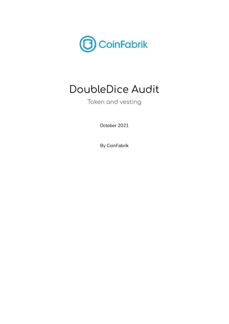

# DoubleDice Audit

Token and vesting

October 2021

By CoinFabrik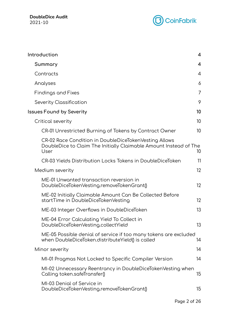

| Introduction                                                                                                                       | $\overline{4}$           |
|------------------------------------------------------------------------------------------------------------------------------------|--------------------------|
| Summary                                                                                                                            | $\overline{\mathcal{A}}$ |
| Contracts                                                                                                                          | $\overline{4}$           |
| Analyses                                                                                                                           | 6                        |
| <b>Findings and Fixes</b>                                                                                                          | 7                        |
| Severity Classification                                                                                                            | 9                        |
| <b>Issues Found by Severity</b>                                                                                                    | 10                       |
| Critical severity                                                                                                                  | 10                       |
| CR-01 Unrestricted Burning of Tokens by Contract Owner                                                                             | 10                       |
| CR-02 Race Condition in DoubleDiceTokenVesting Allows<br>DoubleDice to Claim The Initially Claimable Amount Instead of The<br>User | 10                       |
| CR-03 Yields Distribution Locks Tokens in DoubleDiceToken                                                                          | 11                       |
| Medium severity                                                                                                                    | 12                       |
| ME-01 Unwanted transaction reversion in<br>DoubleDiceTokenVesting.removeTokenGrant()                                               | 12                       |
| ME-02 Initially Claimable Amount Can Be Collected Before<br>startTime in DoubleDiceTokenVesting                                    | 12                       |
| ME-03 Integer Overflows in DoubleDiceToken                                                                                         | 13                       |
| ME-04 Error Calculating Yield To Collect in<br>DoubleDiceTokenVesting.collectYield                                                 | 13                       |
| ME-05 Possible denial of service if too many tokens are excluded<br>when DoubleDiceToken.distributeYield() is called               | 14                       |
| Minor severity                                                                                                                     | 14                       |
| MI-01 Pragmas Not Locked to Specific Compiler Version                                                                              | 14                       |
| MI-02 Unnecessary Reentrancy in DoubleDiceTokenVesting when<br>Calling token.safeTransfer()                                        | 15                       |
| MI-03 Denial of Service in<br>DoubleDiceTokenVesting.removeTokenGrant()                                                            | 15                       |
|                                                                                                                                    |                          |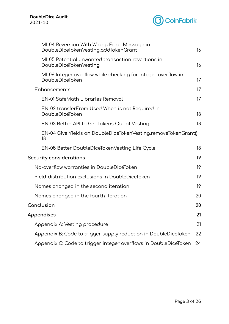

| MI-04 Reversion With Wrong Error Message in<br>DoubleDiceTokenVesting.addTokenGrant | 16 |
|-------------------------------------------------------------------------------------|----|
| MI-05 Potential unwanted transaction revertions in<br>DoubleDiceTokenVesting        | 16 |
| MI-06 Integer overflow while checking for integer overflow in<br>DoubleDiceToken    | 17 |
| Enhancements                                                                        | 17 |
| <b>EN-01 SafeMath Libraries Removal</b>                                             | 17 |
| EN-02 transferFrom Used When is not Required in<br>DoubleDiceToken                  | 18 |
| EN-03 Better API to Get Tokens Out of Vesting                                       | 18 |
| EN-04 Give Yields on DoubleDiceTokenVesting.removeTokenGrant()<br>18                |    |
| EN-05 Better DoubleDiceTokenVesting Life Cycle                                      | 18 |
| Security considerations                                                             | 19 |
| No-overflow warranties in DoubleDiceToken                                           | 19 |
| Yield-distribution exclusions in DoubleDiceToken                                    | 19 |
| Names changed in the second iteration                                               | 19 |
| Names changed in the fourth iteration                                               | 20 |
| Conclusion                                                                          | 20 |
| Appendixes                                                                          | 21 |
| Appendix A: Vesting procedure                                                       | 21 |
| Appendix B: Code to trigger supply reduction in DoubleDiceToken                     | 22 |
| Appendix C: Code to trigger integer overflows in DoubleDiceToken                    | 24 |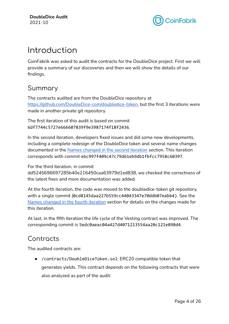

# <span id="page-3-0"></span>Introduction

CoinFabrik was asked to audit the contracts for the DoubleDice project. First we will provide a summary of our discoveries and then we will show the details of our findings.

## <span id="page-3-1"></span>Summary

The contracts audited are from the DoubleDice repository at [https://github.com/DoubleDice-com/doubledice-token,](https://github.com/DoubleDice-com/doubledice-token) but the first 3 iterations were made in another private git repository.

The first iteration of this audit is based on commit 6df7744c5727e666607839f9e3987174f18f2436.

In the second iteration, developers fixed issues and did some new developments, including a complete redesign of the DoubleDice token and several name changes documented in the Names [changed](#page-18-3) in the second iteration section. This iteration corresponds with commit e6c997f409c47c79d61eb9db1fbfcc7958c60397.

For the third iteration, in commit

dd5245696697285b40e216450caa63979d1ed838, we checked the correctness of the latest fixes and more documentation was added.

At the fourth iteration, the code was moved to the doubledice-token git repository, with a single commit (0cd8145daa227b559cc44043347e70ddb07eabb4). See the Names [changed](#page-18-3) in the fourth iteration section for details on the changes made for this iteration.

At last, in the fifth iteration the life cycle of the Vesting contract was improved. The corresponding commit is 5edc0aeac04a427d4071213554aa20c121e898d4.

# <span id="page-3-2"></span>Contracts

The audited contracts are:

● /contracts/DoubleDiceToken.sol: ERC20 compatible token that generates yields. This contract depends on the following contracts that were also analyzed as part of the audit: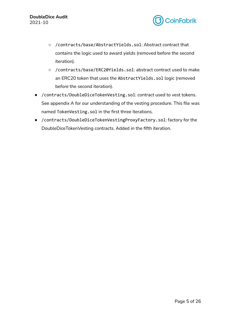

- /contracts/base/AbstractYields.sol: Abstract contract that contains the logic used to award yields (removed before the second iteration).
- /contracts/base/ERC20Yields.sol: abstract contract used to make an ERC20 token that uses the AbstractYields.sol logic (removed before the second iteration).
- /contracts/DoubleDiceTokenVesting.sol: contract used to vest tokens. See appendix A for our understanding of the vesting procedure. This file was named TokenVesting.sol in the first three iterations.
- /contracts/DoubleDiceTokenVestingProxyFactory.sol: factory for the DoubleDiceTokenVesting contracts. Added in the fifth iteration.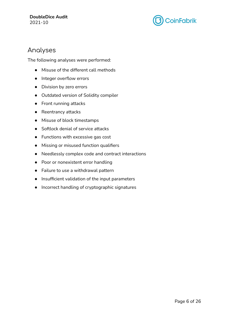

### <span id="page-5-0"></span>Analyses

The following analyses were performed:

- Misuse of the different call methods
- Integer overflow errors
- Division by zero errors
- Outdated version of Solidity compiler
- Front running attacks
- Reentrancy attacks
- Misuse of block timestamps
- Softlock denial of service attacks
- Functions with excessive gas cost
- Missing or misused function qualifiers
- Needlessly complex code and contract interactions
- Poor or nonexistent error handling
- Failure to use a withdrawal pattern
- Insufficient validation of the input parameters
- Incorrect handling of cryptographic signatures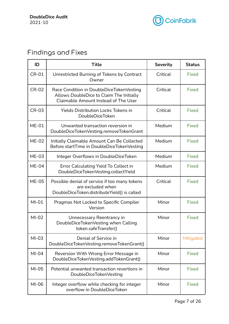

# <span id="page-6-0"></span>Findings and Fixes

| ID                                                                                    | <b>Title</b>                                                                                                                 | <b>Severity</b> | <b>Status</b> |
|---------------------------------------------------------------------------------------|------------------------------------------------------------------------------------------------------------------------------|-----------------|---------------|
| <b>CR-01</b>                                                                          | Unrestricted Burning of Tokens by Contract<br>Owner                                                                          | Critical        | <b>Fixed</b>  |
| <b>CR-02</b>                                                                          | Race Condition in DoubleDiceTokenVesting<br>Allows DoubleDice to Claim The Initially<br>Claimable Amount Instead of The User | Critical        | <b>Fixed</b>  |
| <b>CR-03</b>                                                                          | <b>Yields Distribution Locks Tokens in</b><br>Critical<br><b>DoubleDiceToken</b>                                             |                 | <b>Fixed</b>  |
| $ME-01$                                                                               | Unwanted transaction reversion in<br>DoubleDiceTokenVesting.removeTokenGrant                                                 |                 | <b>Fixed</b>  |
| $ME-02$                                                                               | Initially Claimable Amount Can Be Collected<br>Before startTime in DoubleDiceTokenVesting                                    | Medium          | <b>Fixed</b>  |
| $ME-03$                                                                               | Integer Overflows in DoubleDiceToken                                                                                         | Medium          | <b>Fixed</b>  |
| $ME-04$                                                                               | Error Calculating Yield To Collect in<br>DoubleDiceTokenVesting.collectYield                                                 | Medium          | <b>Fixed</b>  |
| <b>ME-05</b>                                                                          | Possible denial of service if too many tokens<br>are excluded when<br>DoubleDiceToken.distributeYield() is called            | Critical        | <b>Fixed</b>  |
| $MI-01$                                                                               | Pragmas Not Locked to Specific Compiler<br>Version                                                                           | Minor           | <b>Fixed</b>  |
| $MI-02$                                                                               | Unnecessary Reentrancy in<br>DoubleDiceTokenVesting when Calling<br>token.safeTransfer()                                     | Minor           | <b>Fixed</b>  |
| $MI-03$                                                                               | Denial of Service in<br>DoubleDiceTokenVesting.removeTokenGrant()                                                            | Minor           | Mitigated     |
| $MI-04$                                                                               | Reversion With Wrong Error Message in<br>DoubleDiceTokenVesting.addTokenGrant()                                              | Minor           | <b>Fixed</b>  |
| $MI-05$                                                                               | Potential unwanted transaction revertions in<br>DoubleDiceTokenVesting                                                       | Minor           | <b>Fixed</b>  |
| $MI-06$<br>Integer overflow while checking for integer<br>overflow in DoubleDiceToken |                                                                                                                              | Minor           | <b>Fixed</b>  |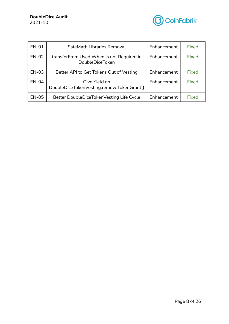

| <b>EN-01</b>                                             | SafeMath Libraries Removal<br>Enhancement                           |             | <b>Fixed</b> |
|----------------------------------------------------------|---------------------------------------------------------------------|-------------|--------------|
| <b>EN-02</b>                                             | transferFrom Used When is not Required in<br><b>DoubleDiceToken</b> | Enhancement | <b>Fixed</b> |
| EN-03                                                    | Better API to Get Tokens Out of Vesting                             | Enhancement | <b>Fixed</b> |
| <b>EN-04</b>                                             | Give Yield on<br>DoubleDiceTokenVesting.removeTokenGrant()          | Enhancement | <b>Fixed</b> |
| <b>EN-05</b><br>Better DoubleDiceTokenVesting Life Cycle |                                                                     | Enhancement | <b>Fixed</b> |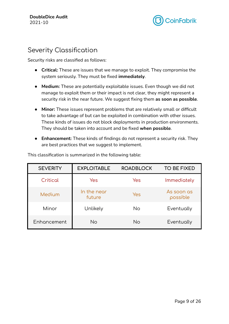

### <span id="page-8-0"></span>Severity Classification

Security risks are classified as follows:

- **Critical:** These are issues that we manage to exploit. They compromise the system seriously. They must be fixed **immediately**.
- **Medium:** These are potentially exploitable issues. Even though we did not manage to exploit them or their impact is not clear, they might represent a security risk in the near future. We suggest fixing them **as soon as possible**.
- **Minor:** These issues represent problems that are relatively small or difficult to take advantage of but can be exploited in combination with other issues. These kinds of issues do not block deployments in production environments. They should be taken into account and be fixed **when possible**.
- **Enhancement:** These kinds of findings do not represent a security risk. They are best practices that we suggest to implement.

| <b>SEVERITY</b> | <b>EXPLOITABLE</b>    | <b>ROADBLOCK</b> | <b>TO BE FIXED</b>     |
|-----------------|-----------------------|------------------|------------------------|
| Critical        | Yes                   | Yes              | Immediately            |
| Medium          | In the near<br>future | Yes              | As soon as<br>possible |
| Minor           | Unlikely              | No               | Eventually             |
| Enhancement     | <b>No</b>             | No               | Eventually             |

This classification is summarized in the following table: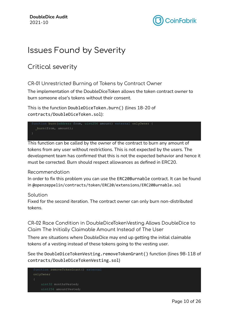

# <span id="page-9-0"></span>Issues Found by Severity

## <span id="page-9-2"></span><span id="page-9-1"></span>Critical severity

CR-01 Unrestricted Burning of Tokens by Contract Owner

The implementation of the DoubleDiceToken allows the token contract owner to burn someone else's tokens without their consent.

This is the function DoubleDiceToken.burn() (lines 18-20 of contracts/DoubleDiceToken.sol):

```
function burn(address from, uint256 amount) external onlyOwner {
 burn(from, amount);
```
This function can be called by the owner of the contract to burn any amount of tokens from any user without restrictions. This is not expected by the users. The development team has confirmed that this is not the expected behavior and hence it must be corrected. Burn should respect allowances as defined in ERC20.

### Recommendation

In order to fix this problem you can use the ERC20Burnable contract. It can be found in @openzeppelin/contracts/token/ERC20/extensions/ERC20Burnable.sol

### Solution

Fixed for the second iteration. The contract owner can only burn non-distributed tokens.

<span id="page-9-3"></span>CR-02 Race Condition in DoubleDiceTokenVesting Allows DoubleDice to Claim The Initially Claimable Amount Instead of The User

There are situations where DoubleDice may end up getting the initial claimable tokens of a vesting instead of these tokens going to the vesting user.

See the DoubleDiceTokenVesting.removeTokenGrant() function (lines 98-118 of contracts/DoubleDiceTokenVesting.sol)

```
function removeTokenGrant() external
onlyOwner
    uint32 monthsVested;
    uint256 amountVested;
```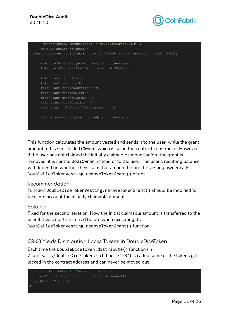#### **DoubleDice Audit** 2021-10



```
(monthsVested, amountVested) = calculateGrantClaim();
      uint256 amountNotVested =
(tokenGrant.amount.sub(tokenGrant.totalClaimed).sub(amountVested)).toUint128();
      token.safeTransfer(userAddress, amountVested);
      token.safeTransfer(dodiOwner, amountNotVested);
      tokenGrant.startTime = 0;
     tokenGrant.amount = 0;
     tokenGrant.vestingDuration = 0;
      tokenGrant.vestingCliff = 0;
     tokenGrant.monthsClaimed = 0;
     tokenGrant.totalClaimed = 0;
      tokenGrant.initiallyClaimableAmount = 0;emit GrantRemoved(amountVested, amountNotVested);
```
This function calculates the amount vested and sends it to the user, while the grant amount left is sent to dodiOwner, which is set in the contract constructor. However, if the user has not claimed the initially claimable amount before the grant is removed, it is sent to dodiOwner instead of to the user. The user's resulting balance will depend on whether they claim that amount before the vesting owner calls DoubleDiceTokenVesting.removeTokenGrant() or not.

#### Recommendation

Function DoubleDiceTokenVesting.removeTokenGrant() should be modified to take into account the initially claimable amount.

#### Solution

Fixed for the second iteration. Now the initial claimable amount is transferred to the user if it was not transferred before when executing the DoubleDiceTokenVesting.removeTokenGrant() function.

### <span id="page-10-0"></span>CR-03 Yields Distribution Locks Tokens in DoubleDiceToken

Each time the DoubleDiceToken.distribute() function (in /contracts/DoubleDiceToken.sol, lines 31-34) is called some of the tokens get locked in the contract address and can never be moved out.

```
function distribute(uint256 amount) external {
  transferFrom(msg.sender, address(this), amount);
 distributeYield(amount);
```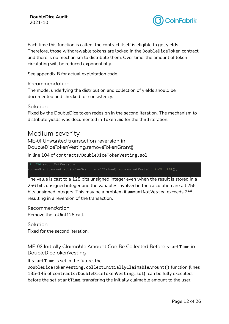

Each time this function is called, the contract itself is eligible to get yields. Therefore, those withdrawable tokens are locked in the DoubleDiceToken contract and there is no mechanism to distribute them. Over time, the amount of token circulating will be reduced exponentially.

See appendix B for actual exploitation code.

Recommendation

The model underlying the distribution and collection of yields should be documented and checked for consistency.

Solution

Fixed by the DoubleDice token redesign in the second iteration. The mechanism to distribute yields was documented in Token.md for the third iteration.

### <span id="page-11-0"></span>Medium severity

<span id="page-11-1"></span>ME-01 Unwanted transaction reversion in DoubleDiceTokenVesting.removeTokenGrant()

In line 104 of contracts/DoubleDiceTokenVesting.sol

uint256 amountNotVested = (tokenGrant.amount.sub(tokenGrant.totalClaimed).sub(amountVested)).toUint128();

The value is cast to a 128 bits unsigned integer even when the result is stored in a 256 bits unsigned integer and the variables involved in the calculation are all 256 bits unsigned integers. This may be a problem if amountNotVested exceeds  $2^{128}\%$ resulting in a reversion of the transaction.

Recommendation Remove the toUint128 call.

Solution Fixed for the second iteration.

<span id="page-11-2"></span>ME-02 Initially Claimable Amount Can Be Collected Before startTime in DoubleDiceTokenVesting

If startTime is set in the future, the DoubleDiceTokenVesting.collectInitiallyClaimableAmount() function (lines 135-145 of contracts/DoubleDiceTokenVesting.sol) can be fully executed, before the set startTime, transfering the initially claimable amount to the user.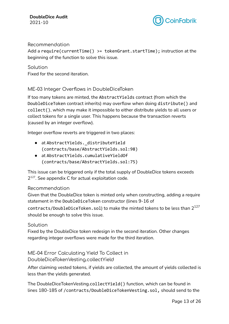

### Recommendation

Add a require(currentTime() >= tokenGrant.startTime); instruction at the beginning of the function to solve this issue.

### Solution

Fixed for the second iteration.

### <span id="page-12-0"></span>ME-03 Integer Overflows in DoubleDiceToken

If too many tokens are minted, the AbstractYields contract (from which the DoubleDiceToken contract inherits) may overflow when doing distribute() and collect(), which may make it impossible to either distribute yields to all users or collect tokens for a single user. This happens because the transaction reverts (caused by an integer overflow).

Integer overflow reverts are triggered in two places:

- at AbstractYields. distributeYield (contracts/base/AbstractYields.sol:98)
- at AbstractYields.cumulativeYieldOf (contracts/base/AbstractYields.sol:75)

This issue can be triggered only if the total supply of DoubleDice tokens exceeds 2<sup>127</sup>. See appendix C for actual exploitation code.

### Recommendation

Given that the DoubleDice token is minted only when constructing, adding a require statement in the DoubleDiceToken constructor (lines 9-16 of

contracts/DoubleDiceToken.sol) to make the minted tokens to be less than  $2^{127}$ should be enough to solve this issue.

### Solution

Fixed by the DoubleDice token redesign in the second iteration. Other changes regarding integer overflows were made for the third iteration.

<span id="page-12-1"></span>ME-04 Error Calculating Yield To Collect in DoubleDiceTokenVesting.collectYield

After claiming vested tokens, if yields are collected, the amount of yields collected is less than the yields generated.

The DoubleDiceTokenVesting.collectYield() function, which can be found in lines 180-185 of /contracts/DoubleDiceTokenVesting.sol, should send to the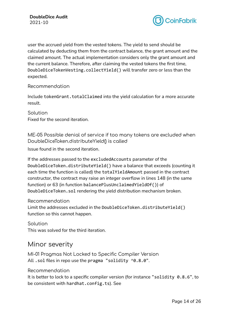

user the accrued yield from the vested tokens. The yield to send should be calculated by deducting them from the contract balance, the grant amount and the claimed amount. The actual implementation considers only the grant amount and the current balance. Therefore, after claiming the vested tokens the first time, DoubleDiceTokenVesting.collectYield() will transfer zero or less than the expected.

### Recommendation

Include tokenGrant.totalClaimed into the yield calculation for a more accurate result.

Solution Fixed for the second iteration.

<span id="page-13-0"></span>ME-05 Possible denial of service if too many tokens are excluded when DoubleDiceToken.distributeYield() is called

Issue found in the second iteration.

If the addresses passed to the excludedAccounts parameter of the DoubleDiceToken.distributeYield() have a balance that exceeds (counting it each time the function is called) the totalYieldAmount passed in the contract constructor, the contract may raise an integer overflow in lines 148 (in the same function) or 63 (in function balancePlusUnclaimedYieldOf()) of DoubleDiceToken.sol rendering the yield distribution mechanism broken.

### Recommendation

Limit the addresses excluded in the DoubleDiceToken.distributeYield() function so this cannot happen.

Solution This was solved for the third iteration.

### <span id="page-13-1"></span>Minor severity

<span id="page-13-2"></span>MI-01 Pragmas Not Locked to Specific Compiler Version All . sol files in repo use the pragma "solidity  $\textdegree$ 0.8.0".

### Recommendation

It is better to lock to a specific compiler version (for instance "solidity 0.8.6", to be consistent with hardhat.config.ts). See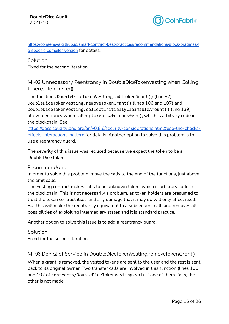

[https://consensys.github.io/smart-contract-best-practices/recommendations/#lock-pragmas-t](https://consensys.github.io/smart-contract-best-practices/recommendations/#lock-pragmas-to-specific-compiler-version) [o-specific-compiler-version](https://consensys.github.io/smart-contract-best-practices/recommendations/#lock-pragmas-to-specific-compiler-version) for details.

### Solution

Fixed for the second iteration.

<span id="page-14-0"></span>MI-02 Unnecessary Reentrancy in DoubleDiceTokenVesting when Calling token.safeTransfer()

The functions DoubleDiceTokenVesting.addTokenGrant() (line 82), DoubleDiceTokenVesting.removeTokenGrant() (lines 106 and 107) and DoubleDiceTokenVesting.collectInitiallyClaimableAmount() (line 139) allow reentrancy when calling token.safeTransfer(), which is arbitrary code in the blockchain. See

[https://docs.soliditylang.org/en/v0.8.6/security-considerations.html#use-the-checks](https://docs.soliditylang.org/en/v0.8.6/security-considerations.html#use-the-checks-effects-interactions-pattern)[effects-interactions-pattern](https://docs.soliditylang.org/en/v0.8.6/security-considerations.html#use-the-checks-effects-interactions-pattern) for details. Another option to solve this problem is to use a reentrancy guard.

The severity of this issue was reduced because we expect the token to be a DoubleDice token.

### Recommendation

In order to solve this problem, move the calls to the end of the functions, just above the emit calls.

The vesting contract makes calls to an unknown token, which is arbitrary code in the blockchain. This is not necessarily a problem, as token holders are presumed to trust the token contract itself and any damage that it may do will only affect itself. But this will make the reentrancy equivalent to a subsequent call, and removes all possibilities of exploiting intermediary states and it is standard practice.

Another option to solve this issue is to add a reentrancy guard.

Solution Fixed for the second iteration.

<span id="page-14-1"></span>MI-03 Denial of Service in DoubleDiceTokenVesting.removeTokenGrant()

When a grant is removed, the vested tokens are sent to the user and the rest is sent back to its original owner. Two transfer calls are involved in this function (lines 106 and 107 of contracts/DoubleDiceTokenVesting.sol). If one of them fails, the other is not made.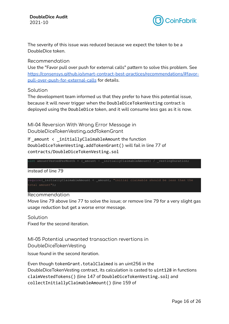

The severity of this issue was reduced because we expect the token to be a DoubleDice token.

Recommendation

Use the "Favor pull over push for external calls" pattern to solve this problem. See [https://consensys.github.io/smart-contract-best-practices/recommendations/#favor](https://consensys.github.io/smart-contract-best-practices/recommendations/#favor-pull-over-push-for-external-calls)[pull-over-push-for-external-calls](https://consensys.github.io/smart-contract-best-practices/recommendations/#favor-pull-over-push-for-external-calls) for details.

#### Solution

The development team informed us that they prefer to have this potential issue, because it will never trigger when the DoubleDiceTokenVesting contract is deployed using the DoubleDice token, and it will consume less gas as it is now.

<span id="page-15-0"></span>MI-04 Reversion With Wrong Error Message in DoubleDiceTokenVesting.addTokenGrant

If amount  $\leftarrow$  initiallyClaimableAmount the function DoubleDiceTokenVesting.addTokenGrant() will fail in line 77 of contracts/DoubleDiceTokenVesting.sol

 $\begin{array}{l} \text{int amountVestedPerMonth} =$  ( amount - \_initiallyClaimableAmount) / \_vestingDuration;

instead of line 79

require( initiallyClaimableAmount < \_amount, "initial claimable should be less than the

total amount");

#### Recommendation

Move line 79 above line 77 to solve the issue; or remove line 79 for a very slight gas usage reduction but get a worse error message.

Solution Fixed for the second iteration.

<span id="page-15-1"></span>MI-05 Potential unwanted transaction revertions in DoubleDiceTokenVesting

Issue found in the second iteration.

Even though tokenGrant.totalClaimed is an uint256 in the DoubleDiceTokenVesting contract, its calculation is casted to uint128 in functions claimVestedTokens() (line 147 of DoubleDiceTokenVesting.sol) and collectInitiallyClaimableAmount() (line 159 of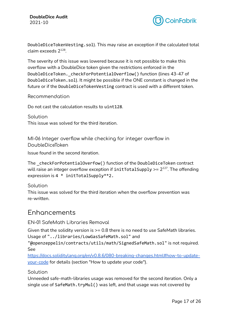

DoubleDiceTokenVesting.sol). This may raise an exception if the calculated total claim exceeds 2<sup>128</sup>.

The severity of this issue was lowered because it is not possible to make this overflow with a DoubleDice token given the restrictions enforced in the DoubleDiceToken. checkForPotentialOverflow() function (lines 43-47 of DoubleDiceToken.sol). It might be possible if the ONE constant is changed in the future or if the DoubleDiceTokenVesting contract is used with a different token.

Recommendation

Do not cast the calculation results to uint128.

Solution This issue was solved for the third iteration.

<span id="page-16-0"></span>MI-06 Integer overflow while checking for integer overflow in DoubleDiceToken

Issue found in the second iteration.

The \_checkForPotentialOverfow() function of the DoubleDiceToken contract will raise an integer overflow exception if  $\texttt{initTotalSupply} \geq 2^{127}.$  The offending expression is 4 \* initTotalSupply\*\*2.

Solution

This issue was solved for the third iteration when the overflow prevention was re-written.

### <span id="page-16-1"></span>Enhancements

### <span id="page-16-2"></span>EN-01 SafeMath Libraries Removal

Given that the solidity version is >= 0.8 there is no need to use SafeMath libraries. Usage of "../libraries/LowGasSafeMath.sol" and

"@openzeppelin/contracts/utils/math/SignedSafeMath.sol" is not required. See

[https://docs.soliditylang.org/en/v0.8.6/080-breaking-changes.html#how-to-update](https://docs.soliditylang.org/en/v0.8.6/080-breaking-changes.html#how-to-update-your-code)[your-code](https://docs.soliditylang.org/en/v0.8.6/080-breaking-changes.html#how-to-update-your-code) for details (section "How to update your code").

### Solution

Unneeded safe-math-libraries usage was removed for the second iteration. Only a single use of SafeMath.tryMul() was left, and that usage was not covered by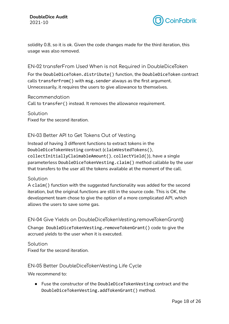

solidity 0.8, so it is ok. Given the code changes made for the third iteration, this usage was also removed.

### <span id="page-17-0"></span>EN-02 transferFrom Used When is not Required in DoubleDiceToken

For the DoubleDiceToken.distribute() function, the DoubleDiceToken contract calls transferFrom() with msg.sender always as the first argument. Unnecessarily, it requires the users to give allowance to themselves.

Recommendation

Call to transfer() instead. It removes the allowance requirement.

Solution Fixed for the second iteration.

### <span id="page-17-1"></span>EN-03 Better API to Get Tokens Out of Vesting

Instead of having 3 different functions to extract tokens in the DoubleDiceTokenVesting contract (claimVestedTokens(), collectInitiallyClaimableAmount(), collectYield()), have a single parameterless DoubleDiceTokenVesting.claim() method callable by the user that transfers to the user all the tokens available at the moment of the call.

### Solution

A claim() function with the suggested functionality was added for the second iteration, but the original functions are still in the source code. This is OK, the development team chose to give the option of a more complicated API, which allows the users to save some gas.

<span id="page-17-2"></span>EN-04 Give Yields on DoubleDiceTokenVesting.removeTokenGrant()

Change DoubleDiceTokenVesting.removeTokenGrant() code to give the accrued yields to the user when it is executed.

Solution Fixed for the second iteration.

### <span id="page-17-3"></span>EN-05 Better DoubleDiceTokenVesting Life Cycle

We recommend to:

● Fuse the constructor of the DoubleDiceTokenVesting contract and the DoubleDiceTokenVesting.addTokenGrant() method.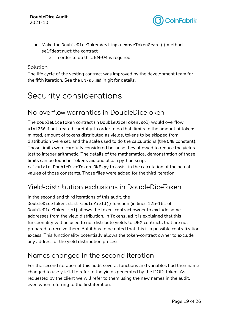

- Make the DoubleDiceTokenVesting.removeTokenGrant() method selfdestruct the contract
	- In order to do this, EN-04 is required

### Solution

The life cycle of the vesting contract was improved by the development team for the fifth iteration. See the EN-05.md in git for details.

# <span id="page-18-0"></span>Security considerations

## <span id="page-18-1"></span>No-overflow warranties in DoubleDiceToken

The DoubleDiceToken contract (in DoubleDiceToken.sol) would overflow uint256 if not treated carefully. In order to do that, limits to the amount of tokens minted, amount of tokens distributed as yields, tokens to be skipped from distribution were set, and the scale used to do the calculations (the ONE constant). Those limits were carefully considered because they allowed to reduce the yields lost to integer arithmetic. The details of the mathematical demonstration of those limits can be found in Tokens.md and also a python script calculate DoubleDiceToken ONE.py to assist in the calculation of the actual values of those constants. Those files were added for the third iteration.

### <span id="page-18-2"></span>Yield-distribution exclusions in DoubleDiceToken

In the second and third iterations of this audit, the

DoubleDiceToken.distributeYield() function (in lines 125-161 of DoubleDiceToken.sol) allows the token-contract owner to exclude some addresses from the yield distribution. In Tokens.md it is explained that this functionality will be used to not distribute yields to DEX contracts that are not prepared to receive them. But it has to be noted that this is a possible centralization excess. This functionality potentially allows the token-contract owner to exclude any address of the yield distribution process.

## <span id="page-18-3"></span>Names changed in the second iteration

For the second iteration of this audit several functions and variables had their name changed to use yield to refer to the yields generated by the DODI token. As requested by the client we will refer to them using the new names in the audit, even when referring to the first iteration.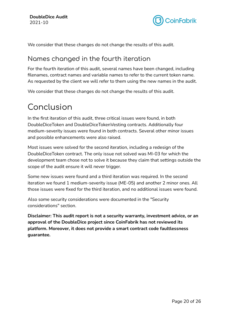

We consider that these changes do not change the results of this audit.

## <span id="page-19-0"></span>Names changed in the fourth iteration

For the fourth iteration of this audit, several names have been changed, including filenames, contract names and variable names to refer to the current token name. As requested by the client we will refer to them using the new names in the audit.

We consider that these changes do not change the results of this audit.

# <span id="page-19-1"></span>Conclusion

In the first iteration of this audit, three critical issues were found, in both DoubleDiceToken and DoubleDiceTokenVesting contracts. Additionally four medium-severity issues were found in both contracts. Several other minor issues and possible enhancements were also raised.

Most issues were solved for the second iteration, including a redesign of the DoubleDiceToken contract. The only issue not solved was MI-03 for which the development team chose not to solve it because they claim that settings outside the scope of the audit ensure it will never trigger.

Some new issues were found and a third iteration was required. In the second iteration we found 1 medium-severity issue (ME-05) and another 2 minor ones. All those issues were fixed for the third iteration, and no additional issues were found.

Also some security considerations were documented in the "Security considerations" section.

**Disclaimer: This audit report is not a security warranty, investment advice, or an approval of the DoubleDice project since CoinFabrik has not reviewed its platform. Moreover, it does not provide a smart contract code faultlessness guarantee.**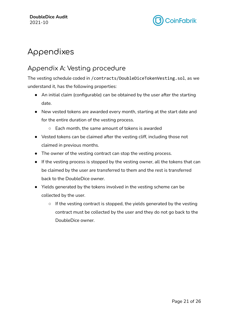

# <span id="page-20-0"></span>Appendixes

## <span id="page-20-1"></span>Appendix A: Vesting procedure

The vesting schedule coded in /contracts/DoubleDiceTokenVesting.sol, as we understand it, has the following properties:

- An initial claim (configurable) can be obtained by the user after the starting date.
- New vested tokens are awarded every month, starting at the start date and for the entire duration of the vesting process.
	- Each month, the same amount of tokens is awarded
- Vested tokens can be claimed after the vesting cliff, including those not claimed in previous months.
- The owner of the vesting contract can stop the vesting process.
- If the vesting process is stopped by the vesting owner, all the tokens that can be claimed by the user are transferred to them and the rest is transferred back to the DoubleDice owner.
- Yields generated by the tokens involved in the vesting scheme can be collected by the user.
	- If the vesting contract is stopped, the yields generated by the vesting contract must be collected by the user and they do not go back to the DoubleDice owner.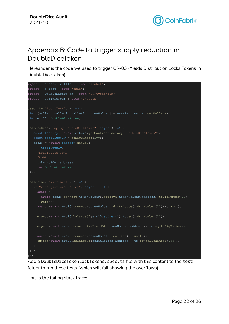

## <span id="page-21-0"></span>Appendix B: Code to trigger supply reduction in DoubleDiceToken

Hereunder is the code we used to trigger CR-03 (Yields Distribution Locks Tokens in DoubleDiceToken).

```
import { ethers, waffle } from "hardhat";
import { expect } from "chai";
import { DoubleDiceToken } from "../typechain";
import { toBigNumber } from "./utils";
describe("AuditTest", () => {
 let [wallet, wallet1, wallet2, tokenHolder] = waffle.provider.getWallets();
beforeEach("Deploy DoubleDiceToken", async () => {
  const factory = await ethers.getContractFactory("DoubleDiceToken");
  const totalSupply = toBigNumber(100);
  erc20 = (await factory.deploy(
      totalSupply,
    "DoubleDice Token",
    tokenHolder.address
 describe("distribute", () \Rightarrow {
    await (
      await erc20.connect(tokenHolder).approve(tokenHolder.address, toBigNumber(20))
    ).wait();
    await (await erc20.connect(tokenHolder).distribute(toBigNumber(20))).wait();
    expect(await erc20.balanceOf(erc20.address)).to.eq(toBigNumber(20));
    expect(await erc20.cumulativeYieldOf(tokenHolder.address)).to.eq(toBigNumber(20));
    await (await erc20.connect(tokenHolder).collect()).wait();
     expect(await erc20.balanceOf(tokenHolder.address)).to.eq(toBigNumber(100));
});
```
Add a DoubleDiceTokenLockTokens.spec.ts file with this content to the test folder to run these tests (which will fail showing the overflows).

This is the failing stack trace: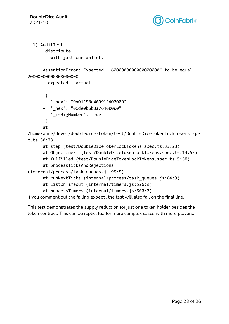

```
1) AuditTest
     distribute
       with just one wallet:
```

```
AssertionError: Expected "16000000000000000000" to be equal
20000000000000000000
```

```
+ expected - actual
```

```
{
- " hex": "0x01158e460913d00000"
+ " hex": "0xde0b6b3a76400000"
   "_isBigNumber": true
 }
at
```
/home/aure/devel/doubledice-token/test/DoubleDiceTokenLockTokens.spe c.ts:30:73

- at step (test/DoubleDiceTokenLockTokens.spec.ts:33:23)
- at Object.next (test/DoubleDiceTokenLockTokens.spec.ts:14:53)
- at fulfilled (test/DoubleDiceTokenLockTokens.spec.ts:5:58)
- at processTicksAndRejections

```
(internal/process/task_queues.js:95:5)
```

```
at runNextTicks (internal/process/task_queues.js:64:3)
```

```
at listOnTimeout (internal/timers.js:526:9)
```

```
at processTimers (internal/timers.js:500:7)
```
If you comment out the failing expect, the test will also fail on the final line.

This test demonstrates the supply reduction for just one token holder besides the token contract. This can be replicated for more complex cases with more players.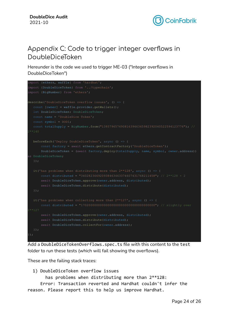

# <span id="page-23-0"></span>Appendix C: Code to trigger integer overflows in DoubleDiceToken

Hereunder is the code we used to trigger ME-03 ("Integer overflows in DoubleDiceToken")

```
import {ethers, waffle} from 'hardhat';
import {DoubleDiceToken} from '../typechain';
import {BigNumber} from 'ethers';
describe('DoubleDiceToken overflow issues', () => {
  const [owner] = waffle.provider.getWallets();
  const name = 'DoubleDice Token';
  const symbol = DODI;
  const totalSupply = BigNumber.from("1393796574908163946345982392040522594123776"); //
  beforeEach('Deploy DoubleDiceToken', async () => {
      const factory = await ethers.getContractFactory('DoubleDiceToken');
      DoubleDiceToken = (await factory.deploy(totalSupply, name, symbol, owner.address))
      await DoubleDiceToken.approve(owner.address, distributed);
       await DoubleDiceToken.distribute(distributed);
      await DoubleDiceToken.approve(owner.address, distributed);
       await DoubleDiceToken.distribute(distributed);
      await DoubleDiceToken.collectFor(owner.address);
});
```
Add a DoubleDiceTokenOverflows.spec.ts file with this content to the test folder to run these tests (which will fail showing the overflows).

These are the failing stack traces:

1) DoubleDiceToken overflow issues

has problems when distributing more than 2\*\*128:

Error: Transaction reverted and Hardhat couldn't infer the reason. Please report this to help us improve Hardhat.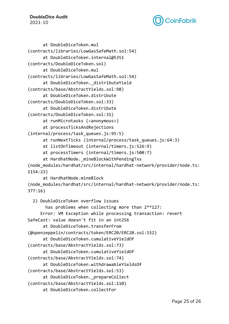**DoubleDice Audit** 2021-10



```
at DoubleDiceToken.mul
(contracts/libraries/LowGasSafeMath.sol:54)
      at DoubleDiceToken.internal@5351
(contracts/DoubleDiceToken.sol)
      at DoubleDiceToken.mul
(contracts/libraries/LowGasSafeMath.sol:54)
      at DoubleDiceToken. distributeYield
(contracts/base/AbstractYields.sol:98)
      at DoubleDiceToken.distribute
(contracts/DoubleDiceToken.sol:33)
      at DoubleDiceToken.distribute
(contracts/DoubleDiceToken.sol:31)
      at runMicrotasks (<anonymous>)
      at processTicksAndRejections
(internal/process/task_queues.js:95:5)
      at runNextTicks (internal/process/task_queues.js:64:3)
      at listOnTimeout (internal/timers.js:526:9)
      at processTimers (internal/timers.js:500:7)
      at HardhatNode. mineBlockWithPendingTxs
(node_modules/hardhat/src/internal/hardhat-network/provider/node.ts:
1154:23)
      at HardhatNode.mineBlock
(node_modules/hardhat/src/internal/hardhat-network/provider/node.ts:
377:16)
  2) DoubleDiceToken overflow issues
       has problems when collecting more than 2**127:
     Error: VM Exception while processing transaction: revert
SafeCast: value doesn't fit in an int256
      at DoubleDiceToken.transferFrom
(@openzeppelin/contracts/token/ERC20/ERC20.sol:152)
      at DoubleDiceToken.cumulativeYieldOf
(contracts/base/AbstractYields.sol:73)
      at DoubleDiceToken.cumulativeYieldOf
(contracts/base/AbstractYields.sol:74)
      at DoubleDiceToken.withdrawableYieldsOf
(contracts/base/AbstractYields.sol:53)
      at DoubleDiceToken. prepareCollect
(contracts/base/AbstractYields.sol:110)
      at DoubleDiceToken.collectFor
```